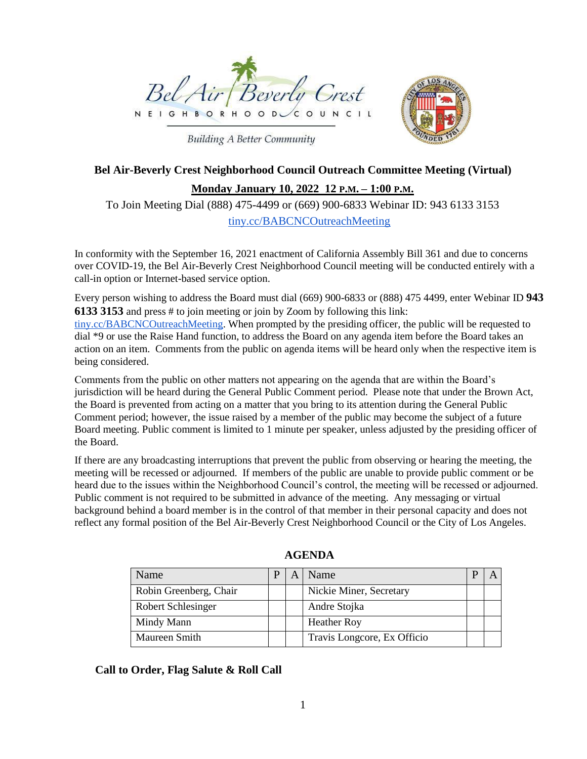

**Building A Better Community** 



# **Bel Air-Beverly Crest Neighborhood Council Outreach Committee Meeting (Virtual)**

**Monday January 10, 2022 12 P.M. – 1:00 P.M.**

To Join Meeting Dial (888) 475-4499 or (669) 900-6833 Webinar ID: 943 6133 3153

tiny.cc/BABCNCOutreachMeeting

In conformity with the September 16, 2021 enactment of California Assembly Bill 361 and due to concerns over COVID-19, the Bel Air-Beverly Crest Neighborhood Council meeting will be conducted entirely with a call-in option or Internet-based service option.

Every person wishing to address the Board must dial (669) 900-6833 or (888) 475 4499, enter Webinar ID **943 6133 3153** and press # to join meeting or join by Zoom by following this link:

tiny.cc/BABCNCOutreachMeeting. When prompted by the presiding officer, the public will be requested to dial \*9 or use the Raise Hand function, to address the Board on any agenda item before the Board takes an action on an item. Comments from the public on agenda items will be heard only when the respective item is being considered.

Comments from the public on other matters not appearing on the agenda that are within the Board's jurisdiction will be heard during the General Public Comment period. Please note that under the Brown Act, the Board is prevented from acting on a matter that you bring to its attention during the General Public Comment period; however, the issue raised by a member of the public may become the subject of a future Board meeting. Public comment is limited to 1 minute per speaker, unless adjusted by the presiding officer of the Board.

If there are any broadcasting interruptions that prevent the public from observing or hearing the meeting, the meeting will be recessed or adjourned. If members of the public are unable to provide public comment or be heard due to the issues within the Neighborhood Council's control, the meeting will be recessed or adjourned. Public comment is not required to be submitted in advance of the meeting. Any messaging or virtual background behind a board member is in the control of that member in their personal capacity and does not reflect any formal position of the Bel Air-Beverly Crest Neighborhood Council or the City of Los Angeles.

| Name                   |  | Name                        |  |
|------------------------|--|-----------------------------|--|
| Robin Greenberg, Chair |  | Nickie Miner, Secretary     |  |
| Robert Schlesinger     |  | Andre Stojka                |  |
| Mindy Mann             |  | <b>Heather Roy</b>          |  |
| Maureen Smith          |  | Travis Longcore, Ex Officio |  |

**AGENDA**

#### **Call to Order, Flag Salute & Roll Call**